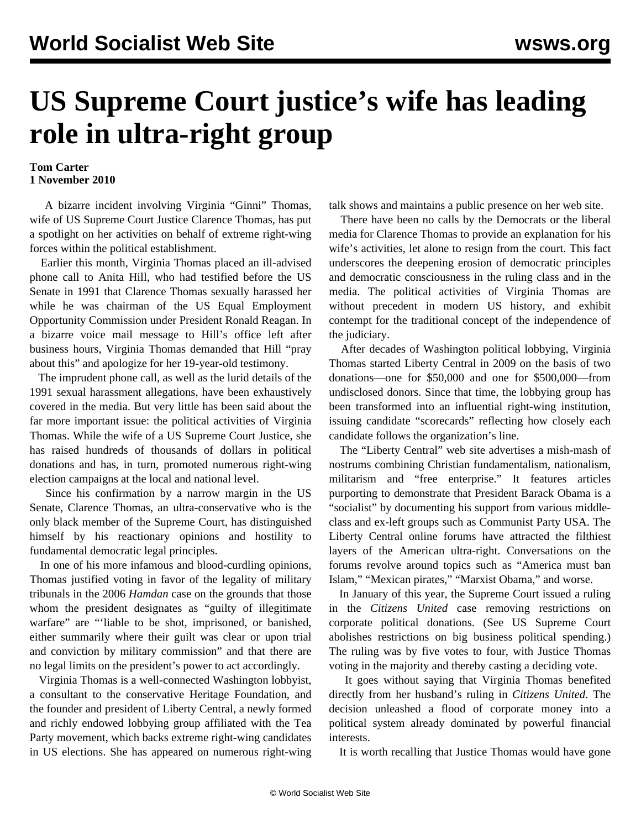## **US Supreme Court justice's wife has leading role in ultra-right group**

## **Tom Carter 1 November 2010**

 A bizarre incident involving Virginia "Ginni" Thomas, wife of US Supreme Court Justice Clarence Thomas, has put a spotlight on her activities on behalf of extreme right-wing forces within the political establishment.

 Earlier this month, Virginia Thomas placed an ill-advised phone call to Anita Hill, who had testified before the US Senate in 1991 that Clarence Thomas sexually harassed her while he was chairman of the US Equal Employment Opportunity Commission under President Ronald Reagan. In a bizarre voice mail message to Hill's office left after business hours, Virginia Thomas demanded that Hill "pray about this" and apologize for her 19-year-old testimony.

 The imprudent phone call, as well as the lurid details of the 1991 sexual harassment allegations, have been exhaustively covered in the media. But very little has been said about the far more important issue: the political activities of Virginia Thomas. While the wife of a US Supreme Court Justice, she has raised hundreds of thousands of dollars in political donations and has, in turn, promoted numerous right-wing election campaigns at the local and national level.

 Since his confirmation by a narrow margin in the US Senate, Clarence Thomas, an ultra-conservative who is the only black member of the Supreme Court, has distinguished himself by his reactionary opinions and hostility to fundamental democratic legal principles.

 In one of his more infamous and blood-curdling opinions, Thomas justified voting in favor of the legality of military tribunals in the 2006 *Hamdan* case on the grounds that those whom the president designates as "guilty of illegitimate warfare" are "'liable to be shot, imprisoned, or banished, either summarily where their guilt was clear or upon trial and conviction by military commission" and that there are no legal limits on the president's power to act accordingly.

 Virginia Thomas is a well-connected Washington lobbyist, a consultant to the conservative Heritage Foundation, and the founder and president of Liberty Central, a newly formed and richly endowed lobbying group affiliated with the Tea Party movement, which backs extreme right-wing candidates in US elections. She has appeared on numerous right-wing talk shows and maintains a public presence on her web site.

 There have been no calls by the Democrats or the liberal media for Clarence Thomas to provide an explanation for his wife's activities, let alone to resign from the court. This fact underscores the deepening erosion of democratic principles and democratic consciousness in the ruling class and in the media. The political activities of Virginia Thomas are without precedent in modern US history, and exhibit contempt for the traditional concept of the independence of the judiciary.

 After decades of Washington political lobbying, Virginia Thomas started Liberty Central in 2009 on the basis of two donations—one for \$50,000 and one for \$500,000—from undisclosed donors. Since that time, the lobbying group has been transformed into an influential right-wing institution, issuing candidate "scorecards" reflecting how closely each candidate follows the organization's line.

 The "Liberty Central" web site advertises a mish-mash of nostrums combining Christian fundamentalism, nationalism, militarism and "free enterprise." It features articles purporting to demonstrate that President Barack Obama is a "socialist" by documenting his support from various middleclass and ex-left groups such as Communist Party USA. The Liberty Central online forums have attracted the filthiest layers of the American ultra-right. Conversations on the forums revolve around topics such as "America must ban Islam," "Mexican pirates," "Marxist Obama," and worse.

 In January of this year, the Supreme Court issued a ruling in the *Citizens United* case removing restrictions on corporate political donations. (See [US Supreme Court](/en/articles/2010/jan2010/cour-j22.shtml) [abolishes restrictions on big business political spending](/en/articles/2010/jan2010/cour-j22.shtml).) The ruling was by five votes to four, with Justice Thomas voting in the majority and thereby casting a deciding vote.

 It goes without saying that Virginia Thomas benefited directly from her husband's ruling in *Citizens United*. The decision unleashed a flood of corporate money into a political system already dominated by powerful financial interests.

It is worth recalling that Justice Thomas would have gone